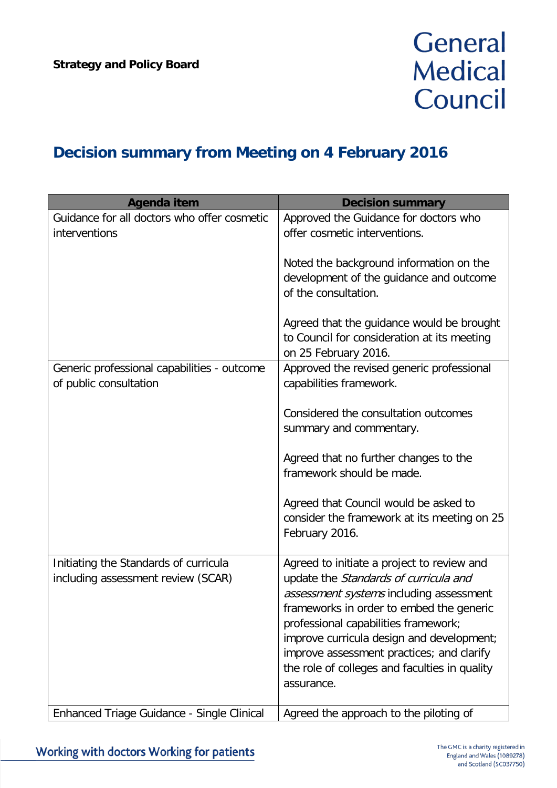## General **Medical** Council

## **Decision summary from Meeting on 4 February 2016**

| Agenda item                                                                 | <b>Decision summary</b>                                                                                                                                                                                                                                                                                                                                                     |
|-----------------------------------------------------------------------------|-----------------------------------------------------------------------------------------------------------------------------------------------------------------------------------------------------------------------------------------------------------------------------------------------------------------------------------------------------------------------------|
| Guidance for all doctors who offer cosmetic<br>interventions                | Approved the Guidance for doctors who<br>offer cosmetic interventions.                                                                                                                                                                                                                                                                                                      |
|                                                                             | Noted the background information on the<br>development of the guidance and outcome<br>of the consultation.                                                                                                                                                                                                                                                                  |
|                                                                             | Agreed that the guidance would be brought<br>to Council for consideration at its meeting<br>on 25 February 2016.                                                                                                                                                                                                                                                            |
| Generic professional capabilities - outcome<br>of public consultation       | Approved the revised generic professional<br>capabilities framework.                                                                                                                                                                                                                                                                                                        |
|                                                                             | Considered the consultation outcomes<br>summary and commentary.                                                                                                                                                                                                                                                                                                             |
|                                                                             | Agreed that no further changes to the<br>framework should be made.                                                                                                                                                                                                                                                                                                          |
|                                                                             | Agreed that Council would be asked to<br>consider the framework at its meeting on 25<br>February 2016.                                                                                                                                                                                                                                                                      |
| Initiating the Standards of curricula<br>including assessment review (SCAR) | Agreed to initiate a project to review and<br>update the Standards of curricula and<br>assessment systems including assessment<br>frameworks in order to embed the generic<br>professional capabilities framework;<br>improve curricula design and development;<br>improve assessment practices; and clarify<br>the role of colleges and faculties in quality<br>assurance. |
| Enhanced Triage Guidance - Single Clinical                                  | Agreed the approach to the piloting of                                                                                                                                                                                                                                                                                                                                      |